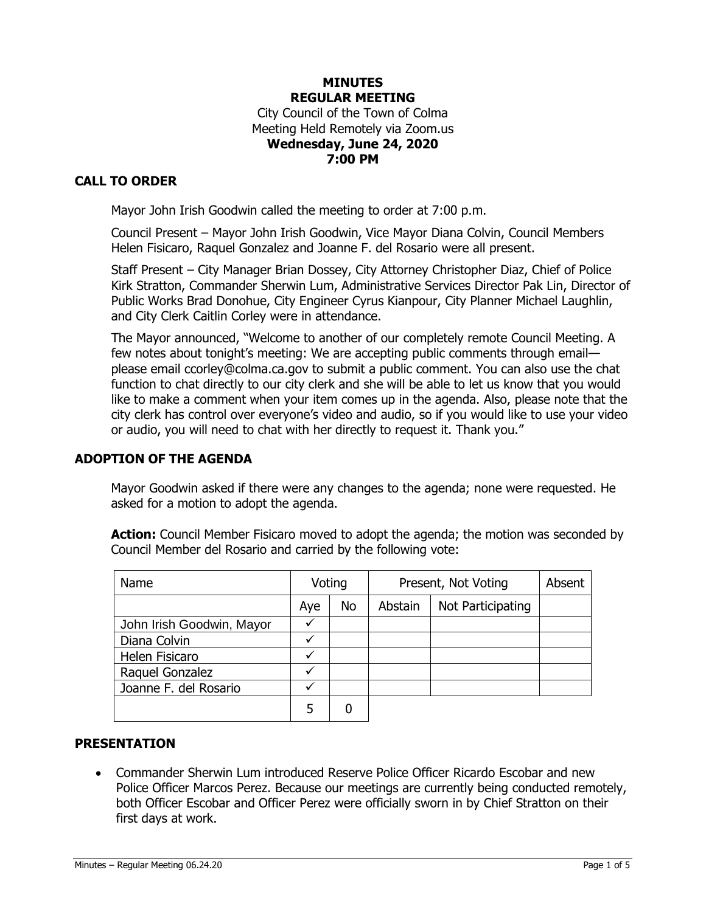## **MINUTES REGULAR MEETING** City Council of the Town of Colma Meeting Held Remotely via Zoom.us **Wednesday, June 24, 2020 7:00 PM**

# **CALL TO ORDER**

Mayor John Irish Goodwin called the meeting to order at 7:00 p.m.

Council Present – Mayor John Irish Goodwin, Vice Mayor Diana Colvin, Council Members Helen Fisicaro, Raquel Gonzalez and Joanne F. del Rosario were all present.

Staff Present – City Manager Brian Dossey, City Attorney Christopher Diaz, Chief of Police Kirk Stratton, Commander Sherwin Lum, Administrative Services Director Pak Lin, Director of Public Works Brad Donohue, City Engineer Cyrus Kianpour, City Planner Michael Laughlin, and City Clerk Caitlin Corley were in attendance.

The Mayor announced, "Welcome to another of our completely remote Council Meeting. A few notes about tonight's meeting: We are accepting public comments through email please email ccorley@colma.ca.gov to submit a public comment. You can also use the chat function to chat directly to our city clerk and she will be able to let us know that you would like to make a comment when your item comes up in the agenda. Also, please note that the city clerk has control over everyone's video and audio, so if you would like to use your video or audio, you will need to chat with her directly to request it. Thank you."

### **ADOPTION OF THE AGENDA**

Mayor Goodwin asked if there were any changes to the agenda; none were requested. He asked for a motion to adopt the agenda.

Action: Council Member Fisicaro moved to adopt the agenda; the motion was seconded by Council Member del Rosario and carried by the following vote:

| Name                      | Voting |    | Present, Not Voting | Absent            |  |
|---------------------------|--------|----|---------------------|-------------------|--|
|                           | Aye    | No | Abstain             | Not Participating |  |
| John Irish Goodwin, Mayor |        |    |                     |                   |  |
| Diana Colvin              |        |    |                     |                   |  |
| Helen Fisicaro            | ✓      |    |                     |                   |  |
| Raquel Gonzalez           | ✓      |    |                     |                   |  |
| Joanne F. del Rosario     |        |    |                     |                   |  |
|                           | 5      |    |                     |                   |  |

### **PRESENTATION**

• Commander Sherwin Lum introduced Reserve Police Officer Ricardo Escobar and new Police Officer Marcos Perez. Because our meetings are currently being conducted remotely, both Officer Escobar and Officer Perez were officially sworn in by Chief Stratton on their first days at work.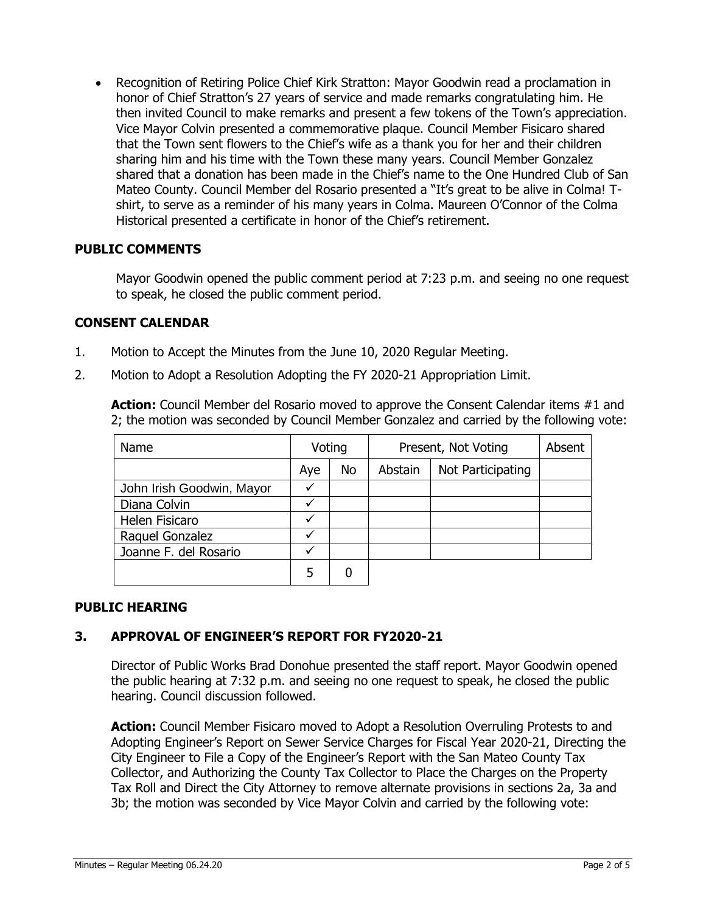• Recognition of Retiring Police Chief Kirk Stratton: Mayor Goodwin read a proclamation in honor of Chief Stratton's 27 years of service and made remarks congratulating him. He then invited Council to make remarks and present a few tokens of the Town's appreciation. Vice Mayor Colvin presented a commemorative plaque. Council Member Fisicaro shared that the Town sent flowers to the Chief's wife as a thank you for her and their children sharing him and his time with the Town these many years. Council Member Gonzalez shared that a donation has been made in the Chief's name to the One Hundred Club of San Mateo County. Council Member del Rosario presented a "It's great to be alive in Colma! Tshirt, to serve as a reminder of his many years in Colma. Maureen O'Connor of the Colma Historical presented a certificate in honor of the Chief's retirement.

## **PUBLIC COMMENTS**

Mayor Goodwin opened the public comment period at 7:23 p.m. and seeing no one request to speak, he closed the public comment period.

## **CONSENT CALENDAR**

- 1. Motion to Accept the Minutes from the June 10, 2020 Regular Meeting.
- 2. Motion to Adopt a Resolution Adopting the FY 2020-21 Appropriation Limit.

Action: Council Member del Rosario moved to approve the Consent Calendar items #1 and 2; the motion was seconded by Council Member Gonzalez and carried by the following vote:

| Name                      | Voting |    | Present, Not Voting | Absent            |  |
|---------------------------|--------|----|---------------------|-------------------|--|
|                           | Aye    | No | Abstain             | Not Participating |  |
| John Irish Goodwin, Mayor |        |    |                     |                   |  |
| Diana Colvin              |        |    |                     |                   |  |
| Helen Fisicaro            |        |    |                     |                   |  |
| Raquel Gonzalez           |        |    |                     |                   |  |
| Joanne F. del Rosario     |        |    |                     |                   |  |
|                           | 5      |    |                     |                   |  |

# **PUBLIC HEARING**

### **3. APPROVAL OF ENGINEER'S REPORT FOR FY2020-21**

Director of Public Works Brad Donohue presented the staff report. Mayor Goodwin opened the public hearing at 7:32 p.m. and seeing no one request to speak, he closed the public hearing. Council discussion followed.

**Action:** Council Member Fisicaro moved to Adopt a Resolution Overruling Protests to and Adopting Engineer's Report on Sewer Service Charges for Fiscal Year 2020-21, Directing the City Engineer to File a Copy of the Engineer's Report with the San Mateo County Tax Collector, and Authorizing the County Tax Collector to Place the Charges on the Property Tax Roll and Direct the City Attorney to remove alternate provisions in sections 2a, 3a and 3b; the motion was seconded by Vice Mayor Colvin and carried by the following vote: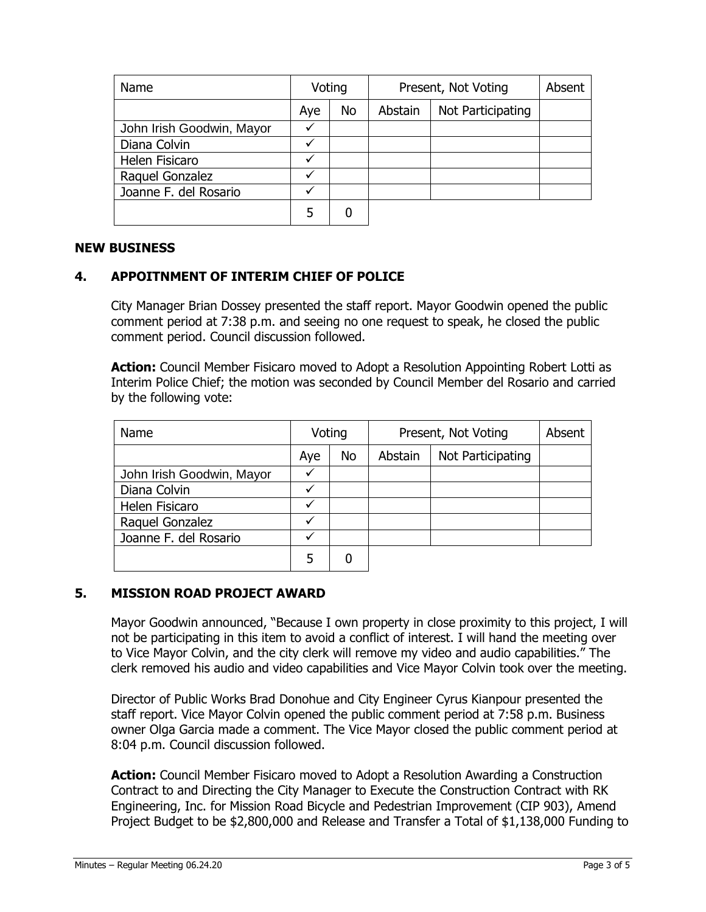| Name                      | Voting |           | Present, Not Voting | Absent            |  |
|---------------------------|--------|-----------|---------------------|-------------------|--|
|                           | Aye    | <b>No</b> | Abstain             | Not Participating |  |
| John Irish Goodwin, Mayor |        |           |                     |                   |  |
| Diana Colvin              |        |           |                     |                   |  |
| Helen Fisicaro            |        |           |                     |                   |  |
| Raquel Gonzalez           |        |           |                     |                   |  |
| Joanne F. del Rosario     |        |           |                     |                   |  |
|                           |        |           |                     |                   |  |

#### **NEW BUSINESS**

## **4. APPOITNMENT OF INTERIM CHIEF OF POLICE**

City Manager Brian Dossey presented the staff report. Mayor Goodwin opened the public comment period at 7:38 p.m. and seeing no one request to speak, he closed the public comment period. Council discussion followed.

**Action:** Council Member Fisicaro moved to Adopt a Resolution Appointing Robert Lotti as Interim Police Chief; the motion was seconded by Council Member del Rosario and carried by the following vote:

| Name                      | Voting |           | Present, Not Voting |                   | Absent |
|---------------------------|--------|-----------|---------------------|-------------------|--------|
|                           | Aye    | <b>No</b> | Abstain             | Not Participating |        |
| John Irish Goodwin, Mayor | ✓      |           |                     |                   |        |
| Diana Colvin              |        |           |                     |                   |        |
| Helen Fisicaro            | ✓      |           |                     |                   |        |
| Raquel Gonzalez           |        |           |                     |                   |        |
| Joanne F. del Rosario     | ✓      |           |                     |                   |        |
|                           |        |           |                     |                   |        |

### **5. MISSION ROAD PROJECT AWARD**

Mayor Goodwin announced, "Because I own property in close proximity to this project, I will not be participating in this item to avoid a conflict of interest. I will hand the meeting over to Vice Mayor Colvin, and the city clerk will remove my video and audio capabilities." The clerk removed his audio and video capabilities and Vice Mayor Colvin took over the meeting.

Director of Public Works Brad Donohue and City Engineer Cyrus Kianpour presented the staff report. Vice Mayor Colvin opened the public comment period at 7:58 p.m. Business owner Olga Garcia made a comment. The Vice Mayor closed the public comment period at 8:04 p.m. Council discussion followed.

**Action:** Council Member Fisicaro moved to Adopt a Resolution Awarding a Construction Contract to and Directing the City Manager to Execute the Construction Contract with RK Engineering, Inc. for Mission Road Bicycle and Pedestrian Improvement (CIP 903), Amend Project Budget to be \$2,800,000 and Release and Transfer a Total of \$1,138,000 Funding to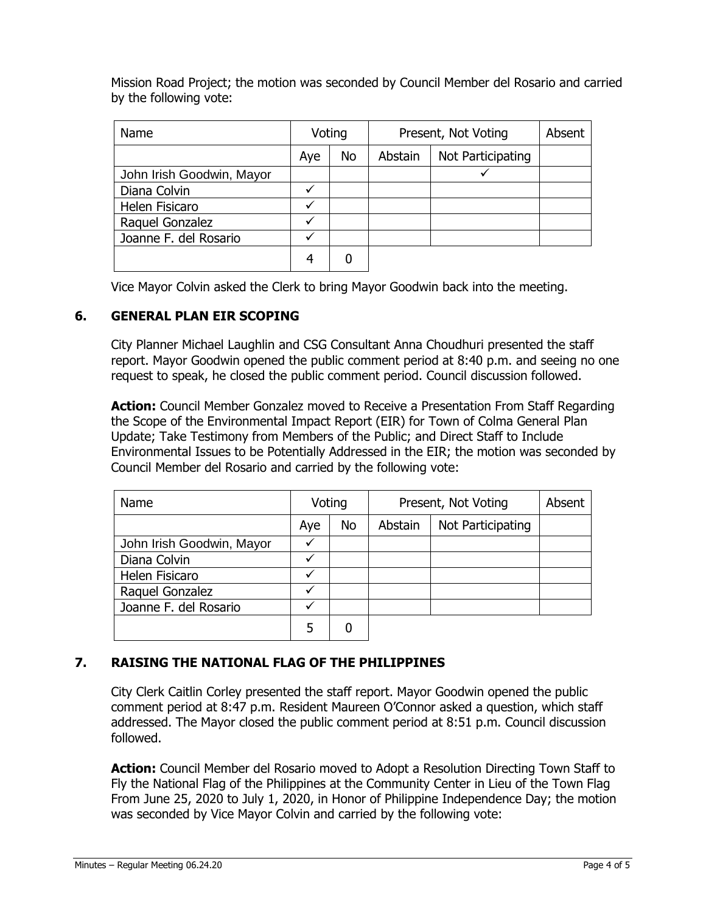Mission Road Project; the motion was seconded by Council Member del Rosario and carried by the following vote:

| <b>Name</b>               | Voting       |           | Present, Not Voting |                   | Absent |
|---------------------------|--------------|-----------|---------------------|-------------------|--------|
|                           | Aye          | <b>No</b> | Abstain             | Not Participating |        |
| John Irish Goodwin, Mayor |              |           |                     |                   |        |
| Diana Colvin              | ✓            |           |                     |                   |        |
| Helen Fisicaro            | $\checkmark$ |           |                     |                   |        |
| Raquel Gonzalez           | $\checkmark$ |           |                     |                   |        |
| Joanne F. del Rosario     |              |           |                     |                   |        |
|                           |              |           |                     |                   |        |

Vice Mayor Colvin asked the Clerk to bring Mayor Goodwin back into the meeting.

## **6. GENERAL PLAN EIR SCOPING**

City Planner Michael Laughlin and CSG Consultant Anna Choudhuri presented the staff report. Mayor Goodwin opened the public comment period at 8:40 p.m. and seeing no one request to speak, he closed the public comment period. Council discussion followed.

**Action:** Council Member Gonzalez moved to Receive a Presentation From Staff Regarding the Scope of the Environmental Impact Report (EIR) for Town of Colma General Plan Update; Take Testimony from Members of the Public; and Direct Staff to Include Environmental Issues to be Potentially Addressed in the EIR; the motion was seconded by Council Member del Rosario and carried by the following vote:

| <b>Name</b>               | Voting |           | Present, Not Voting |                   | Absent |
|---------------------------|--------|-----------|---------------------|-------------------|--------|
|                           | Aye    | <b>No</b> | Abstain             | Not Participating |        |
| John Irish Goodwin, Mayor |        |           |                     |                   |        |
| Diana Colvin              | ✓      |           |                     |                   |        |
| Helen Fisicaro            | ✓      |           |                     |                   |        |
| Raquel Gonzalez           | ✓      |           |                     |                   |        |
| Joanne F. del Rosario     | √      |           |                     |                   |        |
|                           |        |           |                     |                   |        |

# **7. RAISING THE NATIONAL FLAG OF THE PHILIPPINES**

City Clerk Caitlin Corley presented the staff report. Mayor Goodwin opened the public comment period at 8:47 p.m. Resident Maureen O'Connor asked a question, which staff addressed. The Mayor closed the public comment period at 8:51 p.m. Council discussion followed.

**Action:** Council Member del Rosario moved to Adopt a Resolution Directing Town Staff to Fly the National Flag of the Philippines at the Community Center in Lieu of the Town Flag From June 25, 2020 to July 1, 2020, in Honor of Philippine Independence Day; the motion was seconded by Vice Mayor Colvin and carried by the following vote: